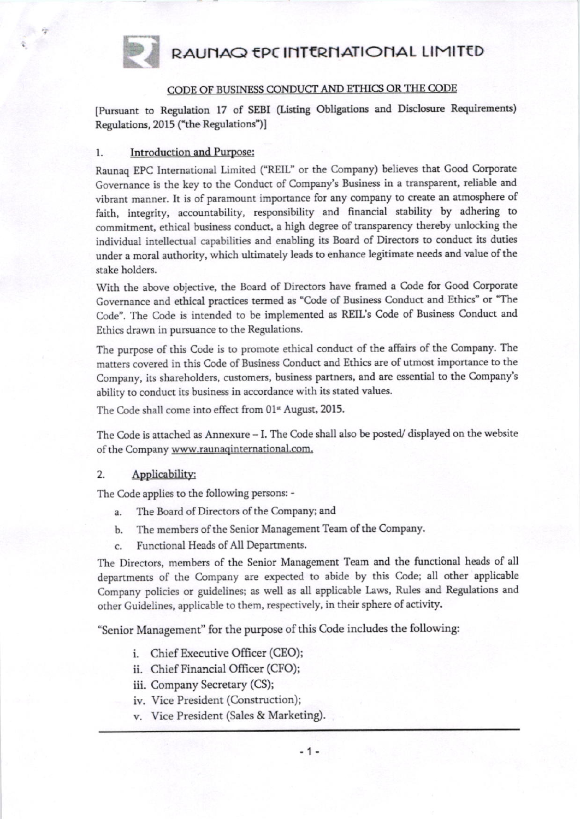# RAUNAQ EPC INTERNATIONAL LIMITED

### CODE OF BUSINESS CONDUCT AND ETHICS OR THE CODE

[Pursuant to Regulation 17 of SEBI (Listing Obligations and Disclosure Requirements) Regulations, 2015 ("the Regulations")]

#### **Introduction and Purpose:** 1.

Raunaq EPC International Limited ("REIL" or the Company) believes that Good Corporate Governance is the key to the Conduct of Company's Business in a transparent, reliable and vibrant manner. It is of paramount importance for any company to create an atmosphere of faith, integrity, accountability, responsibility and financial stability by adhering to commitment, ethical business conduct, a high degree of transparency thereby unlocking the individual intellectual capabilities and enabling its Board of Directors to conduct its duties under a moral authority, which ultimately leads to enhance legitimate needs and value of the stake holders.

With the above objective, the Board of Directors have framed a Code for Good Corporate Governance and ethical practices termed as "Code of Business Conduct and Ethics" or "The Code". The Code is intended to be implemented as REIL's Code of Business Conduct and Ethics drawn in pursuance to the Regulations.

The purpose of this Code is to promote ethical conduct of the affairs of the Company. The matters covered in this Code of Business Conduct and Ethics are of utmost importance to the Company, its shareholders, customers, business partners, and are essential to the Company's ability to conduct its business in accordance with its stated values.

The Code shall come into effect from 01<sup>st</sup> August, 2015.

The Code is attached as Annexure - I. The Code shall also be posted/ displayed on the website of the Company www.raunaqinternational.com.

#### 2. Applicability:

The Code applies to the following persons: -

- The Board of Directors of the Company; and a.
- b. The members of the Senior Management Team of the Company.
- Functional Heads of All Departments. c.

The Directors, members of the Senior Management Team and the functional heads of all departments of the Company are expected to abide by this Code; all other applicable Company policies or guidelines; as well as all applicable Laws, Rules and Regulations and other Guidelines, applicable to them, respectively, in their sphere of activity.

"Senior Management" for the purpose of this Code includes the following:

- i. Chief Executive Officer (CEO);
- ii. Chief Financial Officer (CFO);
- iii. Company Secretary (CS);
- iv. Vice President (Construction);
- v. Vice President (Sales & Marketing).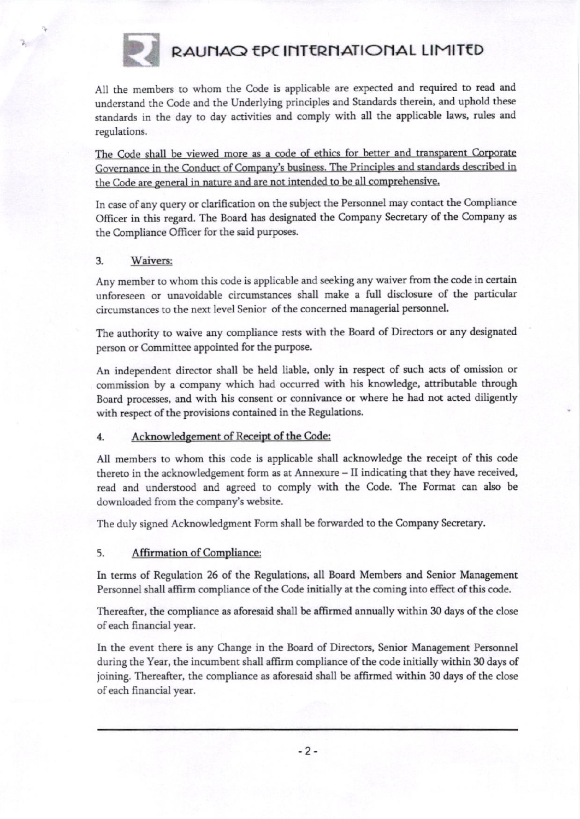

# RAUNAQ EPC INTERNATIONAL LIMITED

All the members to whom the Code is applicable are expected and required to read and understand the Code and the Underlying principles and Standards therein, and uphold these standards in the day to day activities and comply with all the applicable laws, rules and regulations.

The Code shall be viewed more as a code of ethics for better and transparent Corporate Governance in the Conduct of Company's business. The Principles and standards described in the Code are general in nature and are not intended to be all comprehensive.

In case of any query or clarification on the subject the Personnel may contact the Compliance Officer in this regard. The Board has designated the Company Secretary of the Company as the Compliance Officer for the said purposes.

## 3. Waivers;

Any member to whom this code is applicable and seeking any waiver from the code in certain unforeseen or unavoidable circumstances shall make a full disclosure of the particular circumstances to the next level Senior of the concerned managerial personnel.

The authority to waive any compliance rests with the Board of Directors or any designated person or Committee appointed for the purpose.

An independent director shall be held liable, only in respect of such acts of omission or commission by a company which had occurred with his knowledge, attributable through Board processes, and with his consent or connivance or where he had not acted diligently with respect of the provisions contained in the Regulations.

## 4. Acknowledgement of Receipt of the Code:

All members to whom this code is applicable shall acknowledge the receipt of this code thereto in the acknowledgement form as at Annexure - II indicating that they have received, read and understood and agreed to comply with the Code. The Format can also be downloaded from the company's website.

The duly signed Acknowledgment Form shall be forwarded to the Company Secretary.

## 5. Affirmation of Compliance:

In terms of Regulation 26 of the Regulations, all Board Members and Senior Management Personnel shall affirm compliance of the Code initially at the coming into effect of this code.

Thereafter, the compliance as aforesaid shall be affirmed annually within 30 days of the close of each financial year.

In the event there is any Change in the Board of Directors, Senior Management Personnel during the Year, the incumbent shall affirm compliance of the code initially within 30 days of joining. Thereafter, the compliance as aforesaid shall be affrmed withia 30 days of the close of each financial year.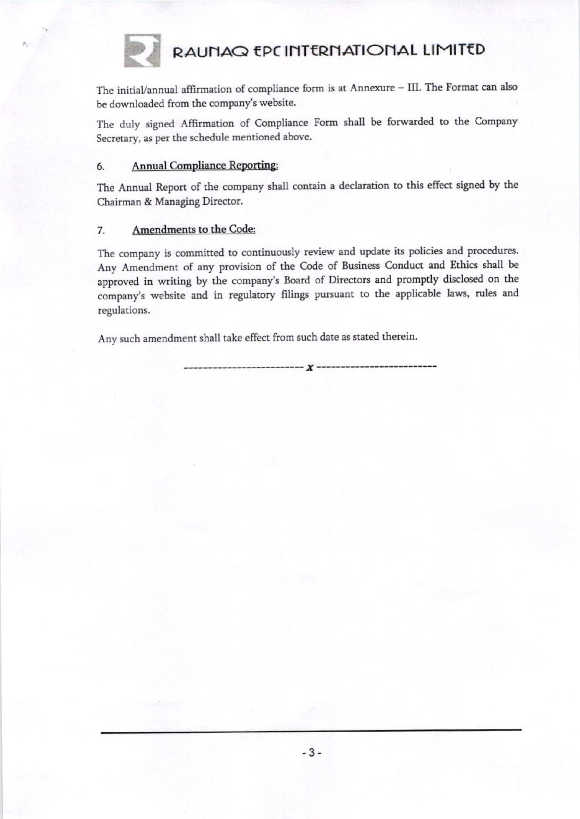

RAUNAQ EPC INTERNATIONAL LIMITED

The initial/annual affirmation of compliance form is at Annexure - III. The Format can also be downloaded from the company's website.

The duly signed Affirmation of Compliance Form shall be forwarded to the Company Secretary, as per the schedule mentioned above.

### **Annual Compliance Reporting:** 6.

The Annual Report of the company shall contain a declaration to this effect signed by the Chairman & Managing Director.

### Amendments to the Code: 7.

The company is committed to continuously review and update its policies and procedures. Any Amendment of any provision of the Code of Business Conduct and Ethics shall be approved in writing by the company's Board of Directors and promptly disclosed on the company's website and in regulatory filings pursuant to the applicable laws, rules and regulations.

Any such amendment shall take effect from such date as stated therein.

 $----- **X** ---$